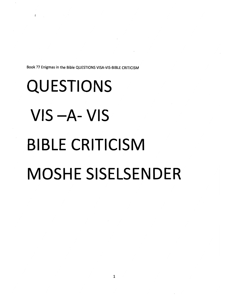*Book 77 Enigmas in the Bible QUESTIONSVISA-VIS-BIBLE CRITICISM*

*BIBLE CRITICISM*

*MOSHE SISELSENDER*

*QUESTIONS*

 $\mathbf{r}$ 

*VIS -A- VIS*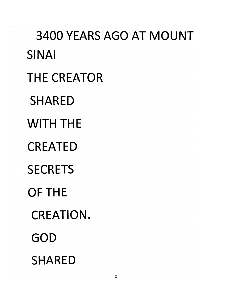*3400 YEARS AGO AT MOUNT SINAI THE CREATOR SHARED WITH THE CREATED SECRETS OF THE CREATION. GOD SHARED*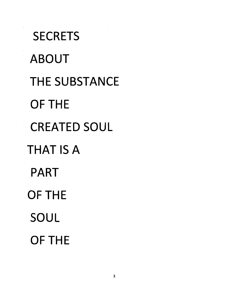*SECRETS ABOUT THE SUBSTANCE OF THE CREATED SOUL THAT IS A PART OF THE SOUL OF THE*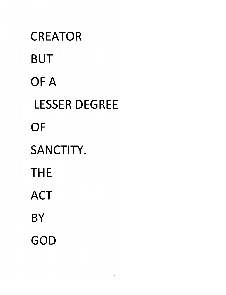# *CREATOR BUT OF A LESSER DEGREE OF SANCTITY. THE ACT BY GOD*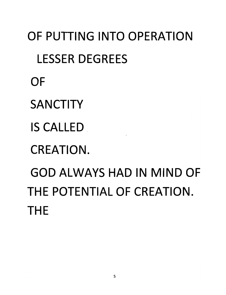*OF PUTTING INTO OPERATION LESSER DEGREES OF SANCTITY IS CALLED CREATION. GOD ALWAYS HAD IN MIND OF THE POTENTIAL OF CREATION. THE*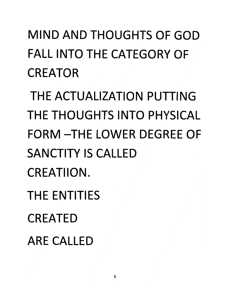# *MIND AND THOUGHTS OF GOD FALL INTO THE CATEGORY OF CREATOR*

*THE ACTUALIZATION PUTTING THE THOUGHTS INTO PHYSICAL FORM -THE LOWER DEGREE OF SANCTITY IS CALLED CREATIION. THE ENTITIES CREATED ARE CALLED*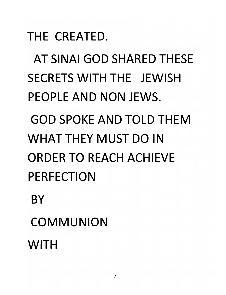*THE CREATED.*

*AT SINAI GOD SHARED THESE SECRETS WITH THE JEWISH PEOPLE AND NON JEWS.*

*GOD SPOKE AND TOLD THEM* WHAT THEY MUST DO IN *ORDER TO REACH ACHIEVE PERFECTION*

*BY*

*COMMUNION*

*WITH*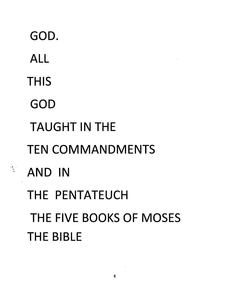*GOD. ALL*  $\mathcal{A}^{\mathcal{A}}$ *THIS GOD TAUGHT IN THE TEN COMMANDMENTS AND IN THE PENTATEUCH THE FIVE BOOKS OF MOSES THE BIBLE*

 $\frac{1}{2}$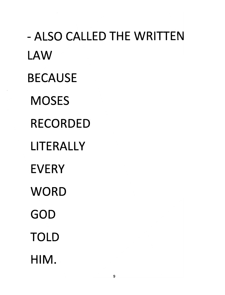*- ALSO CALLED THE WRITTEN LAW BECAUSE MOSES RECORDED LITERALLY EVERY WORD GOD TOLD HIM.*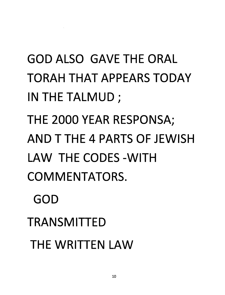## *GOD ALSO GAVE THE ORAL TORAH THAT APPEARS TODAY IN THE TALMUD;*

*THE 2000 YEAR RESPONSA; AND T THE 4 PARTS OF JEWISH LAW THE CODES-WITH COMMENTATORS.*

*GOD*

*TRANSMITTED*

*THE WRITTEN LAW*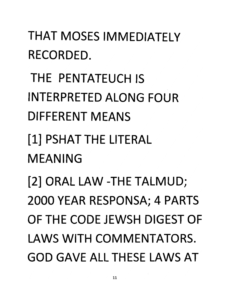*THAT MOSES IMMEDIATELY RECORDED.*

*THE PENTATEUCH IS INTERPRETED ALONG FOUR DIFFERENT MEANS*

*[1]PSHAT THE LITERAL MEANING*

*[2] ORAL LAW -THE TALMUD; 2000 YEAR RESPONSA; 4 PARTS OF THE CODE JEWSH DIGEST OF LAWS WITH COMMENTATORS. GOD GAVE ALL THESE LAWS AT*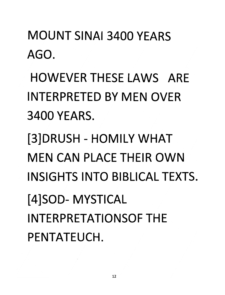### *MOUNT SINAI 3400 YEARS AGO.*

*HOWEVER THESE LAWS ARE INTERPRETED BY MEN OVER 3400 YEARS.*

*[3]DRUSH- HOMILY WHAT MEN CAN PLACE THEIR OWN INSIGHTS INTO BIBLICAL TEXTS. [4]SOD- MYSTICAL INTERPRETATIONSOF THE PENTATEUCH.*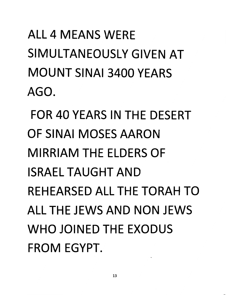# *ALL 4 MEANS WERE SIMULTANEOUSLY GIVEN AT MOUNT SINAI 3400 YEARS AGO.*

*FOR 40 YEARS IN THE DESERT OF SINAI MOSES AARON MIRRIAM THE ELDERS OF ISRAEL TAUGHT AND REHEARSED ALL THE TORAH TO ALL THE JEWS AND NON JEWS WHO JOINED THE EXODUS FROM EGYPT.*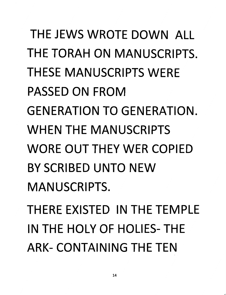*THE JEWS WROTE DOWN ALL THE TORAH ON MANUSCRIPTS. THESE MANUSCRIPTS WERE PASSED ON FROM GENERATION TO GENERATION. WHEN THE MANUSCRIPTS WORE OUT THEY WER COPIED BY SCRIBED UNTO NEW MANUSCRIPTS.*

*THERE EXISTED IN THE TEMPLE IN THE HOLY OF HOLIES- THE ARK- CONTAINING THE TEN*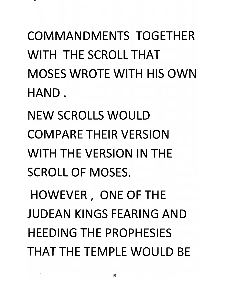*COMMANDMENTS TOGETHER WITH THE SCROLL THAT MOSES WROTE WITH HIS OWN HAND.*

*NEW SCROLLS WOULD COMPARE THEIR VERSION WITH THE VERSION IN THE SCROLL OF MOSES.*

*HOWEVER, ONE OF THE JUDEAN KINGS FEARING AND HEEDING THE PROPHESIES THAT THE TEMPLE WOULD BE*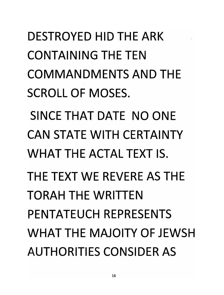*DESTROYED HID THE ARK CONTAINING THE TEN COMMANDMENTS AND THE SCROLL OF MOSES. SINCE THAT DATE NO ONE CAN STATE WITH CERTAINTY WHAT THE ACTAL TEXT IS. THE TEXT WE REVERE AS THE TORAH THE WRITTEN PENTATEUCH REPRESENTS WHAT THE MAJOITY OF JEWSH AUTHORITIES CONSIDER AS*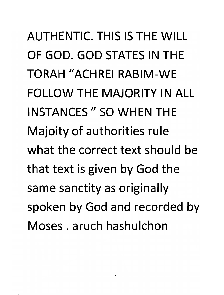*AUTHENTIC. THIS IS THE WILL OF GOD. GOD STATES IN THE TORAH "ACHREI RABIM-WE FOLLOW THE MAJORITY IN ALL INSTANCES " SO WHEN THE Majoity of authorities rule what the correct text should be that text is given by God the same sanctity as originally spoken by God and recorded by Moses. aruch hashulchon*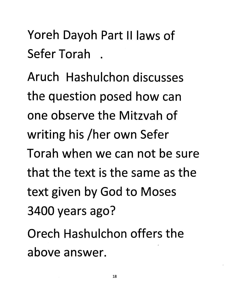### *Yoreh Dayoh Part II laws of Sefer Torah .*

*Aruch Hashulchon discusses the question posed how can one observe the Mitzvah of writing his /her own Sefer Torah when we can not be sure that the text is the same as the text given by God to Moses 3400 years ago?*

*Orech Hashulchon offers the above answer.*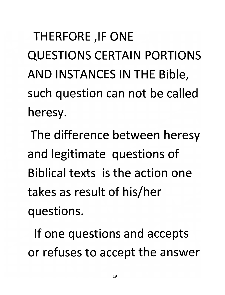**THERFORE, IF ONE** *QUESTIONS CERTAIN PORTIONS AND INSTANCES IN THE Bible, such question can not be called heresy.*

*The difference between heresy and legitimate questions of Biblical texts is the action one takes as result of his/her questions.*

*If one questions and accepts or refuses to accept the answer*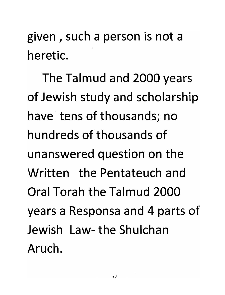*given , such a person is not a heretic.*

*The Talmud and 2000 years of Jewish study and scholarship have tens of thousands; no hundreds of thousands of unanswered question on the Written the Pentateuch and Oral Torah the Talmud 2000 years a Responsa and 4 parts of Jewish Law-theShulchan Aruch.*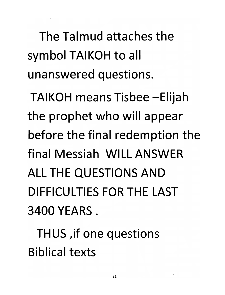*The Talmud attaches the symbol TAIKOH to all unanswered questions.*

*TAIKOH means Tisbee-Elijah the prophet who will appear before the final redemption the final Messiah WILL ANSWER ALL THE QUESTIONS AND DIFFICULTIES FOR THE LAST 3400 YEARS .*

*THUS ,if one questions Biblical texts*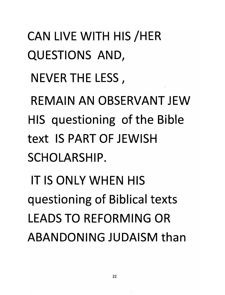*CAN LIVE WITH HIS/HER QUESTIONS AND,*

*NEVERTHELESS,*

*REMAIN AN OBSERVANT JEW HIS questioning of the Bible text IS PART OF JEWISH SCHOLARSHIP.*

*IT IS ONLY WHEN HIS questioning of Biblical texts LEADS TO REFORMING OR ABANDONING JUDAISM than*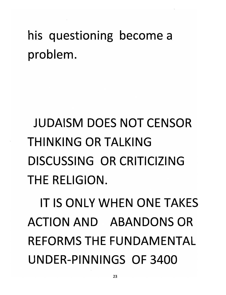### *his questioning become a problem.*

# *JUDAISM DOES NOT CENSOR THINKING OR TALKING DISCUSSING OR CRITICIZING THE RELIGION.*

*IT IS ONLY WHEN ONE TAKES ACTION AND ABANDONS OR REFORMS THE FUNDAMENTAL UNDER-PINNINGS OF 3400*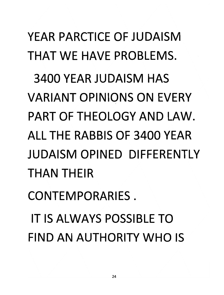*YEAR PARCTICE OF JUDAISM THAT WE HAVE PROBLEMS. 3400 YEAR JUDAISM HAS VARIANT OPINIONS ON EVERY PART OF THEOLOGY AND LAW. ALL THE RABBIS OF 3400 YEAR JUDAISM OPINED DIFFERENTLY THAN THEIR CONTEMPORARIES. IT IS ALWAYS POSSIBLE TO FIND AN AUTHORITY WHO IS*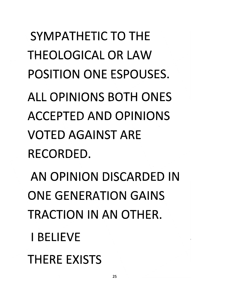*SYMPATHETIC TO THE THEOLOGICAL OR LAW POSITION ONE ESPOUSES. ALL OPINIONS BOTH ONES ACCEPTED AND OPINIONS VOTED AGAINST ARE RECORDED.*

*AN OPINION DISCARDED IN ONE GENERATION GAINS TRACTION IN AN OTHER.*

*I BELIEVE*

*THERE EXISTS*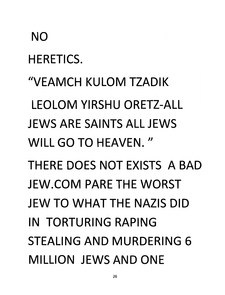#### *NO*

*HERETICS.*

*"VEAMCH KULOM TZADIK LEOLOM YIRSHU ORETZ-ALL JEWS ARE SAINTS ALL JEWS WILL GO TO HEAVEN."*

*THERE DOES NOT EXISTS A BAD JEW.COM PARE THE WORST JEW TO WHAT THE NAZIS DID IN TORTURING RAPING STEALING AND MURDERING 6 MILLION JEWS AND ONE*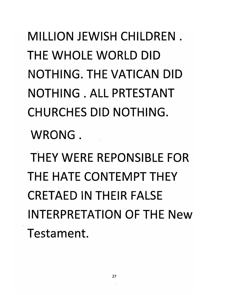*MILLION JEWISH CHILDREN. THE WHOLE WORLD DID NOTHING. THE VATICAN DID NOTHING . ALL PRTESTANT CHURCHES DID NOTHING.*

*WRONG .*

*THEY WERE REPONSIBLE FOR THE HATE CONTEMPT THEY CRETAED IN THEIR FALSE INTERPRETATION OF THE New Testament.*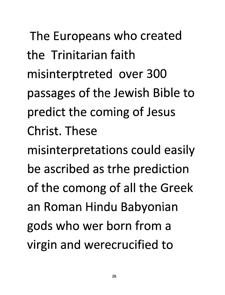*The Europeans who created the Trinitarian faith misinterptreted over 300 passages of the Jewish Bible to predict the coming of Jesus Christ. These misinterpretations could easily be ascribed as trhe prediction of the comong of all the Greek an Roman Hindu Babyonian gods who wer born from a virgin and werecrucified to*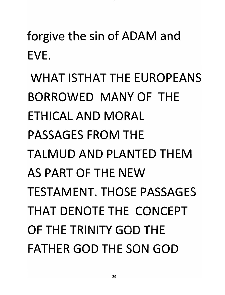*forgive the sin of ADAM and EVE.*

*WHAT ISTHATTHE EUROPEANS BORROWED MANY OF THE ETHICAL AND MORAL PASSAGES FROM THE TALMUD AND PLANTED THEM AS PART OF THE NEW TESTAMENT. THOSE PASSAGES THAT DENOTE THE CONCEPT OF THE TRINITY GOD THE FATHER GOD THE SON GOD*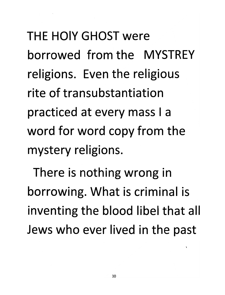*THE HOIY GHOST were borrowed from the MYSTREY religions. Even the religious rite of transubstantiation practiced at every mass I a word for word copy from the mystery religions.*

*There is nothing wrong in borrowing. What is criminal is inventing the blood libel that all Jews who ever lived in the past*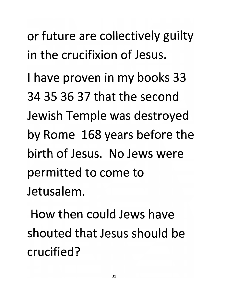*or future are collectively guilty in the crucifixion of Jesus.*

*I have proven in my books 33 34 35 36 37 that the second Jewish Temple was destroyed by Rome 168 years before the birth of Jesus. No Jews were permitted to come to Jetusalem.*

*How then could Jews have shouted that Jesus should be crucified?*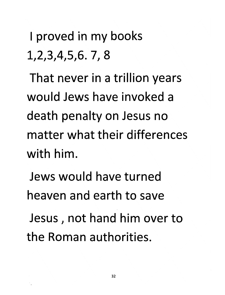*I proved in my books 1,2,3,4,5,6. 7, 8*

*That never in a trillion years would Jews have invoked a death penalty on Jesus no matter what their differences with him.*

*Jews would have turned heaven and earth to save*

*Jesus, not hand him over to the Roman authorities.*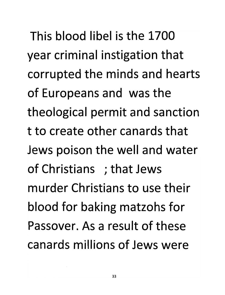*This blood libel is the 1700 year criminal instigation that corrupted the minds and hearts of Europeans and was the theological permit and sanction t to create other canards that Jews poison the well and water of Christians ; that Jews murder Christians to use their blood for baking matzohs for Passover. As a result of these canards millions of Jews were*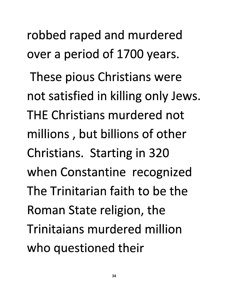*robbed raped and murdered over a period of 1700 years.*

*These pious Christians were not satisfied in killing only Jews. THE Christians murdered not millions, but billions of other Christians. Starting in 320 when Constantine recognized The Trinitarian faith to be the Roman State religion, the Trinitaians murdered million who questioned their*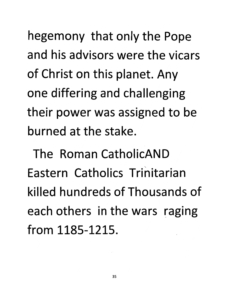*hegemony that only the Pope and his advisors were the vicars of Christ on this planet. Any one differing and challenging their power was assigned to be burned at the stake.*

*The Roman CatholicAND Eastern Catholics Trinitarian killed hundreds of Thousands of each others in the wars raging from 1185-1215.*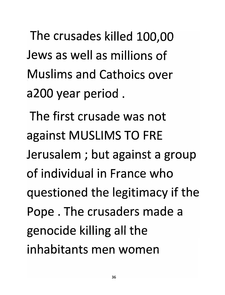*The crusades killed 100,00 Jews as well as millions of Muslims and Cathoics over a200 year period .*

*The first crusade was not against MUSLIMS TO FRE Jerusalem ; but against a group of individual in France who questioned the legitimacy if the Pope . The crusaders made a genocide killing all the inhabitants men women*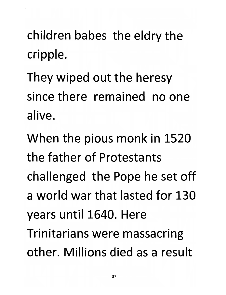*children* babes the eldry the *cripple.*

*They wiped out the heresy since there remained no one alive.*

*When the pious monk in 1520 the father of Protestants challenged the Pope he set off a world war that lasted for 130 years until 1640. Here Trinitarians were massacring other. Millions died as a result*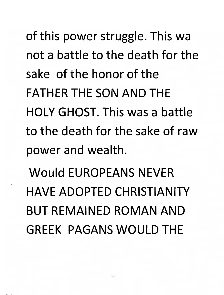*of this power struggle. This wa not a battle to the death for the sake of the honor of the FATHER THE SON AND THE HOLY GHOST. This was a battle to the death for the sake of raw power and wealth.*

*Would EUROPEANS NEVER HAVE ADOPTED CHRISTIANITY BUT REMAINED ROMAN AND GREEK PAGANS WOULD THE*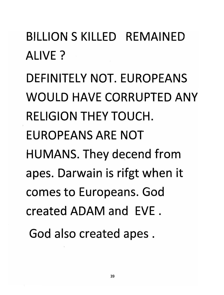*BILLION S KILLED REMAINED ALIVE?*

*DEFINITELY NOT. EUROPEANS WOULD HAVE CORRUPTED ANY RELIGION THEY TOUCH. EUROPEANS ARE NOT HUMANS. They decend from apes. Darwain is rifgt when it comes to Europeans. God created ADAM and EVE . God also created apes .*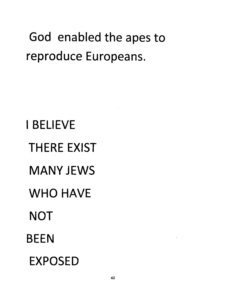### *God enabled the apes to reproduce Europeans.*

*I BELIEVE THERE EXIST MANY JEWS WHO HAVE NOT BEEN EXPOSED*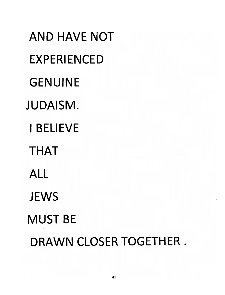*AND HAVE NOT EXPERIENCED GENUINE JUDAISM. I BELIEVE THAT ALL JEWS MUST BE DRAWN CLOSER TOGETHER .*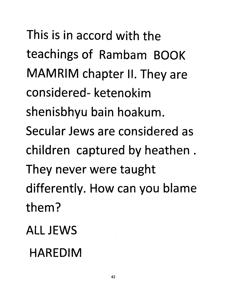*This is in accord with the teachings of Rambam BOOK MAMRIM chapter II. They are considered- ketenokim shenisbhyu bain hoakum. Secular Jews are considered as children captured by heathen . They never were taught differently. How can you blame them? ALL JEWS*

### *HAREDIM*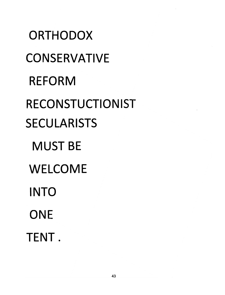*ORTHODOX CONSERVATIVE REFORM RECONSTUCTIONIST SECULARISTS MUST BE WELCOME INTO ONE TENT.*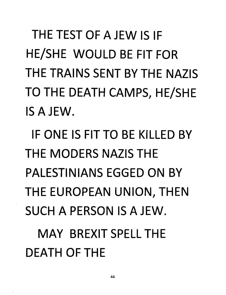THE TEST OF A JEW IS IF *HE/SHE WOULD BE FIT FOR THE TRAINS SENT BY THE NAZIS TO THE DEATH CAMPS, HE/SHE IS A JEW.*

*IF ONE IS FIT TO BE KILLED BY THE MODERS NAZIS THE PALESTINIANS EGGED ON BY THE EUROPEAN UNION, THEN SUCH A PERSON IS A JEW.*

*MAY BREXIT SPELL THE DEATH OF THE*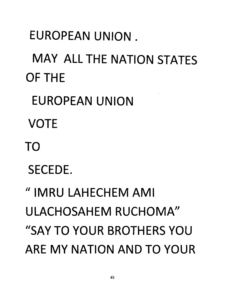*EUROPEAN UNION . MAY ALL THE NATION STATES OF THE EUROPEAN UNION VOTE TO SECEDE. "IMRULAHECHEMAMI ULACHOSAHEM RUCHOMA" "SAY TO YOUR BROTHERS YOU ARE MY NATION AND TO YOUR*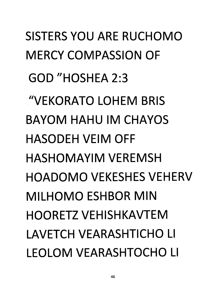*SISTERS YOU ARE RUCHOMO MERCY COMPASSION OF GOD"HOSHEA2:3 "VEKORATO LOHEM BRIS BAYOM HAHU IM CHAYOS HASODEH VEIM OFF HASHOMAYIM VEREMSH HOADOMO VEKESHES VEHERV MILHOMOESHBORMIN HOORETZ VEHISHKAVTEM LAVETCH VEARASHTICHO LI LEOLOM VEARASHTOCHO LI*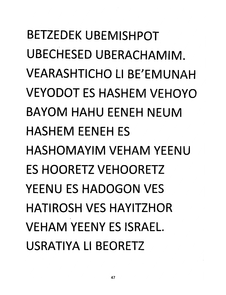*BETZEDEK UBEMISHPOT UBECHESED UBERACHAMIM. VEARASHTICHO LI BE'EMUNAH VEYODOT ES HASH EM VEHOYO BAYOM HAHU EENEH NEUM HASHEM EENEH ES HASHOMAYIM VEHAM YEENU* **ES HOORETZ VEHOORETZ** *YEENU ES HADOGON VES HATIROSH VES HAYITZHOR VEHAM YEENY ES ISRAEL. USRATIYA LI BEORETZ*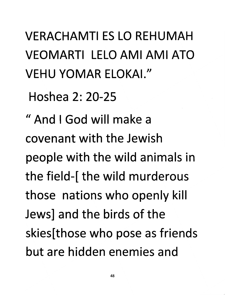*VERACHAMTI ES LO REHUMAH VEOMARTI LELOAMIAMIATO VEHU YOMAR ELOKAI. //*

*Hoshea 2: 20-25*

*" And I God will make a covenant with the Jewish people with the wild animals in the field-[ the wild murderous those nations who openly kill Jews] and the birds of the skies[those who pose as friends but are hidden enemies and*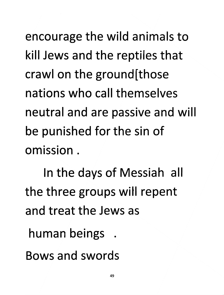*encourage the wild animals to kill Jews and the reptiles that crawl on the ground[those nations who call themselves neutral and are passive and will be punished for the sin of omission.*

*In the days of Messiah all the three groups will repent and treat the Jews as*

*human beings .*

*Bows and swords*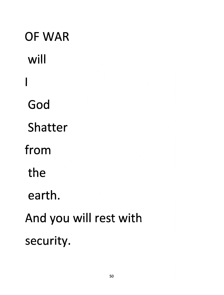*will*  $\overline{\phantom{a}}$ *God Shatter from the earth. And you will rest with security.*

*OF WAR*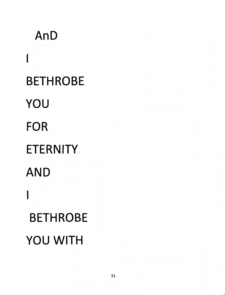*AnD*  $\overline{\phantom{a}}$ *BETHROBE YOU FOR ETERNITY AND*  $\overline{\phantom{a}}$ *BETHROBE YOU WITH*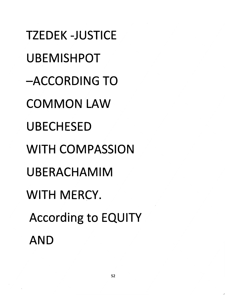*TZEDEK-JUSTICE UBEMISHPOT -ACCORDING TO COMMON LAW UBECHESED WITH COMPASSION UBERACHAMIM WITH MERCY. According to EQUITY AND*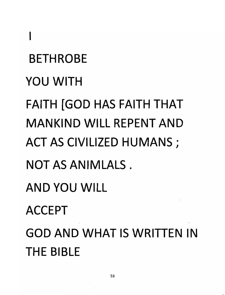*BETHROBE YOU WITH FAITH [GOD HAS FAITH THAT MANKIND WILL REPENT AND ACT AS CIVILIZED HUMANS ; NOTASANIMLALS. AND YOU WILL ACCEPT GOD AND WHAT IS WRITTEN IN THE BIBLE*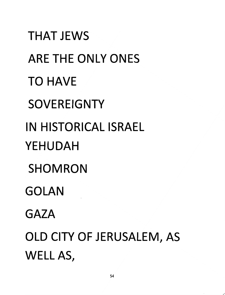*THAT JEWS ARE THE ONLY ONES TO HAVE SOVEREIGNTY IN HISTORICAL ISRAEL YEHUDAH SHOMRON GOLAN GAZA OLD CITY OF JERUSALEM, AS WELL AS,*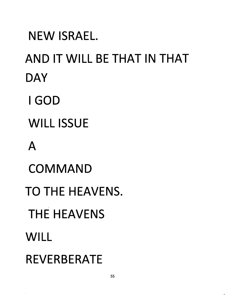*NEW ISRAEL. AND IT WILL BE THAT IN THAT DAY I GOD WILL ISSUE A COMMAND TO THE HEAVENS. THE HEAVENS WILL REVERBERATE*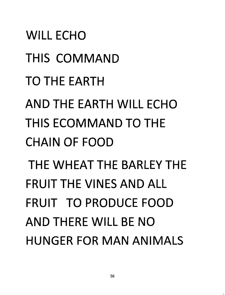*WILL ECHO THIS COMMAND TO THE EARTH AND THE EARTH WILL ECHO THISECOMMANDTOTHE CHAIN OF FOOD THE WHEAT THE BARLEY THE FRUIT THE VINES AND ALL FRUIT TO PRODUCE FOOD AND THERE WILL BE NO HUNGER FOR MAN ANIMALS*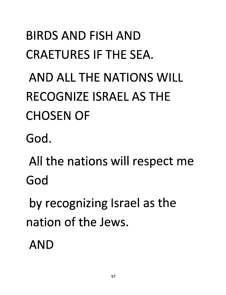# *BIRDS AND FISH AND CRAETURESIFTHESEA. AND ALL THE NATIONS WILL RECOGNIZE ISRAEL AS THE CHOSEN OF*

*God.*

*All the nations will respect me God*

*by recognizing Israel as the nation of the Jews.*

*AND*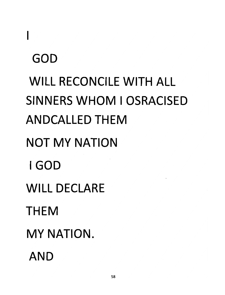# *GOD WILL RECONCILE WITH ALL SINNERS WHOM I OSRACISED ANDCALLEDTHEM NOT MY NATION I GOD WILL DECLARE THEM MY NATION. AND*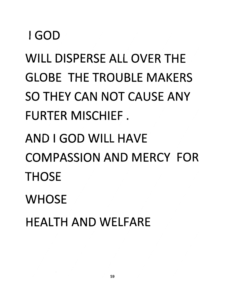#### *I GOD*

*WILL DISPERSE ALL OVER THE GLOBE THE TROUBLE MAKERS SO THEY CAN NOT CAUSE ANY FURTER MISCHIEF.*

## *AND I GOD WILL HAVE COMPASSION AND MERCY FOR THOSE*

*WHOSE*

*HEALTH AND WELFARE*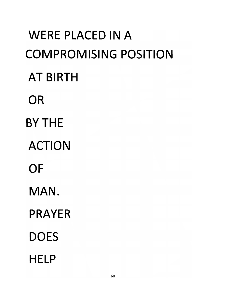*WERE PLACED IN A COMPROMISING POSITION AT BIRTH OR BY THE ACTION OF MAN. PRAYER DOES HELP*